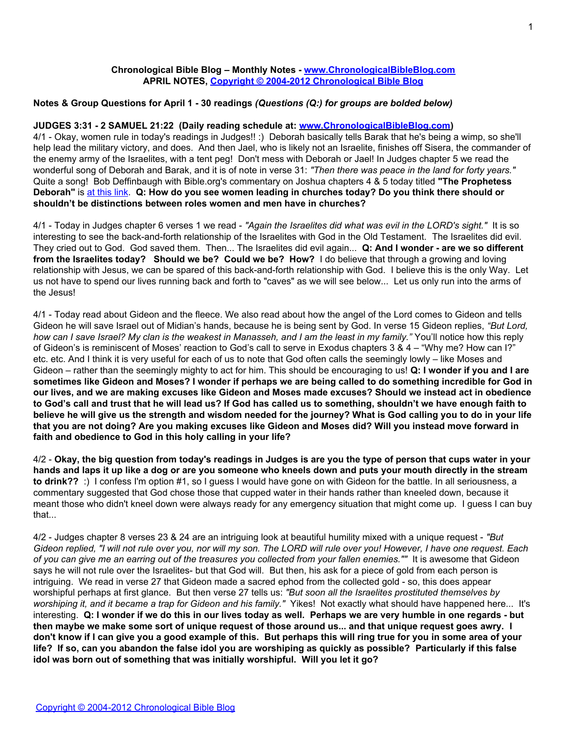#### **Chronological Bible Blog – Monthly Notes - [www.ChronologicalBibleBlog.com](http://www.chronologicalbibleblog.com/) APRIL NOTES, [Copyright © 2004-2012 Chronological Bible Blog](http://www.chronologicalbibleblog.com/)**

#### **Notes & Group Questions for April 1 - 30 readings** *(Questions (Q:) for groups are bolded below)*

#### **JUDGES 3:31 - 2 SAMUEL 21:22 (Daily reading schedule at: [www.ChronologicalBibleBlog.com\)](http://www.chronologicalbibleblog.com/)**

4/1 - Okay, women rule in today's readings in Judges!! :) Deborah basically tells Barak that he's being a wimp, so she'll help lead the military victory, and does. And then Jael, who is likely not an Israelite, finishes off Sisera, the commander of the enemy army of the Israelites, with a tent peg! Don't mess with Deborah or Jael! In Judges chapter 5 we read the wonderful song of Deborah and Barak, and it is of note in verse 31: *"Then there was peace in the land for forty years."* Quite a song! Bob Deffinbaugh with Bible.org's commentary on Joshua chapters 4 & 5 today titled **"The Prophetess Deborah"** is [at this link.](http://blank/) **Q: How do you see women leading in churches today? Do you think there should or shouldn't be distinctions between roles women and men have in churches?**

4/1 - Today in Judges chapter 6 verses 1 we read - *"Again the Israelites did what was evil in the LORD's sight."* It is so interesting to see the back-and-forth relationship of the Israelites with God in the Old Testament. The Israelites did evil. They cried out to God. God saved them. Then... The Israelites did evil again... **Q: And I wonder - are we so different from the Israelites today? Should we be? Could we be? How?** I do believe that through a growing and loving relationship with Jesus, we can be spared of this back-and-forth relationship with God. I believe this is the only Way. Let us not have to spend our lives running back and forth to "caves" as we will see below... Let us only run into the arms of the Jesus!

4/1 - Today read about Gideon and the fleece. We also read about how the angel of the Lord comes to Gideon and tells Gideon he will save Israel out of Midian's hands, because he is being sent by God. In verse 15 Gideon replies, *"But Lord, how can I save Israel? My clan is the weakest in Manasseh, and I am the least in my family."* You'll notice how this reply of Gideon's is reminiscent of Moses' reaction to God's call to serve in Exodus chapters 3 & 4 – "Why me? How can I?" etc. etc. And I think it is very useful for each of us to note that God often calls the seemingly lowly – like Moses and Gideon – rather than the seemingly mighty to act for him. This should be encouraging to us! **Q: I wonder if you and I are sometimes like Gideon and Moses? I wonder if perhaps we are being called to do something incredible for God in our lives, and we are making excuses like Gideon and Moses made excuses? Should we instead act in obedience to God's call and trust that he will lead us? If God has called us to something, shouldn't we have enough faith to believe he will give us the strength and wisdom needed for the journey? What is God calling you to do in your life that you are not doing? Are you making excuses like Gideon and Moses did? Will you instead move forward in faith and obedience to God in this holy calling in your life?**

4/2 - **Okay, the big question from today's readings in Judges is are you the type of person that cups water in your hands and laps it up like a dog or are you someone who kneels down and puts your mouth directly in the stream to drink??** :) I confess I'm option #1, so I guess I would have gone on with Gideon for the battle. In all seriousness, a commentary suggested that God chose those that cupped water in their hands rather than kneeled down, because it meant those who didn't kneel down were always ready for any emergency situation that might come up. I guess I can buy that...

4/2 - Judges chapter 8 verses 23 & 24 are an intriguing look at beautiful humility mixed with a unique request - *"But Gideon replied, "I will not rule over you, nor will my son. The LORD will rule over you! However, I have one request. Each of you can give me an earring out of the treasures you collected from your fallen enemies.""* It is awesome that Gideon says he will not rule over the Israelites- but that God will. But then, his ask for a piece of gold from each person is intriguing. We read in verse 27 that Gideon made a sacred ephod from the collected gold - so, this does appear worshipful perhaps at first glance. But then verse 27 tells us: *"But soon all the Israelites prostituted themselves by worshiping it, and it became a trap for Gideon and his family."* Yikes! Not exactly what should have happened here... It's interesting. **Q: I wonder if we do this in our lives today as well. Perhaps we are very humble in one regards - but then maybe we make some sort of unique request of those around us... and that unique request goes awry. I don't know if I can give you a good example of this. But perhaps this will ring true for you in some area of your life? If so, can you abandon the false idol you are worshiping as quickly as possible? Particularly if this false idol was born out of something that was initially worshipful. Will you let it go?**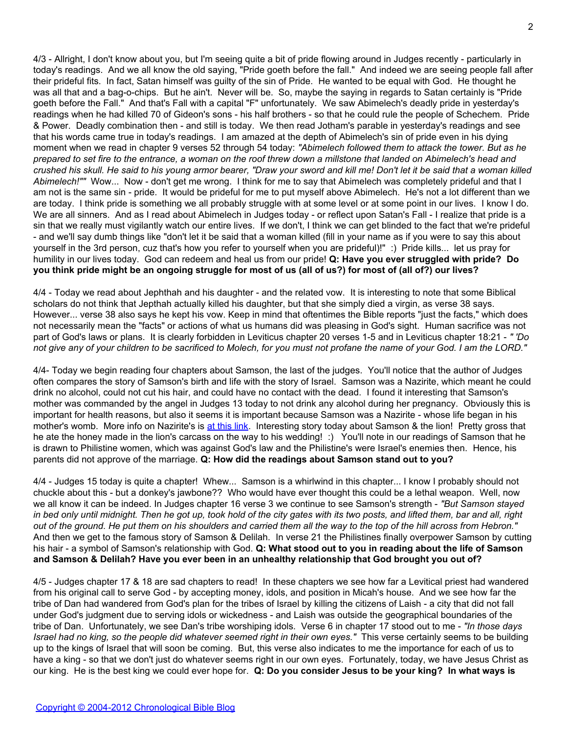4/3 - Allright, I don't know about you, but I'm seeing quite a bit of pride flowing around in Judges recently - particularly in today's readings. And we all know the old saying, "Pride goeth before the fall." And indeed we are seeing people fall after their prideful fits. In fact, Satan himself was guilty of the sin of Pride. He wanted to be equal with God. He thought he was all that and a bag-o-chips. But he ain't. Never will be. So, maybe the saying in regards to Satan certainly is "Pride goeth before the Fall." And that's Fall with a capital "F" unfortunately. We saw Abimelech's deadly pride in yesterday's readings when he had killed 70 of Gideon's sons - his half brothers - so that he could rule the people of Schechem. Pride & Power. Deadly combination then - and still is today. We then read Jotham's parable in yesterday's readings and see that his words came true in today's readings. I am amazed at the depth of Abimelech's sin of pride even in his dying moment when we read in chapter 9 verses 52 through 54 today: *"Abimelech followed them to attack the tower. But as he prepared to set fire to the entrance, a woman on the roof threw down a millstone that landed on Abimelech's head and crushed his skull. He said to his young armor bearer, "Draw your sword and kill me! Don't let it be said that a woman killed Abimelech!""* Wow... Now - don't get me wrong. I think for me to say that Abimelech was completely prideful and that I am not is the same sin - pride. It would be prideful for me to put myself above Abimelech. He's not a lot different than we are today. I think pride is something we all probably struggle with at some level or at some point in our lives. I know I do. We are all sinners. And as I read about Abimelech in Judges today - or reflect upon Satan's Fall - I realize that pride is a sin that we really must vigilantly watch our entire lives. If we don't, I think we can get blinded to the fact that we're prideful - and we'll say dumb things like "don't let it be said that a woman killed (fill in your name as if you were to say this about yourself in the 3rd person, cuz that's how you refer to yourself when you are prideful)!" :) Pride kills... let us pray for humility in our lives today. God can redeem and heal us from our pride! **Q: Have you ever struggled with pride? Do you think pride might be an ongoing struggle for most of us (all of us?) for most of (all of?) our lives?**

4/4 - Today we read about Jephthah and his daughter - and the related vow. It is interesting to note that some Biblical scholars do not think that Jepthah actually killed his daughter, but that she simply died a virgin, as verse 38 says. However... verse 38 also says he kept his vow. Keep in mind that oftentimes the Bible reports "just the facts," which does not necessarily mean the "facts" or actions of what us humans did was pleasing in God's sight. Human sacrifice was not part of God's laws or plans. It is clearly forbidden in Leviticus chapter 20 verses 1-5 and in Leviticus chapter 18:21 - *" 'Do not give any of your children to be sacrificed to Molech, for you must not profane the name of your God. I am the LORD."*

4/4- Today we begin reading four chapters about Samson, the last of the judges. You'll notice that the author of Judges often compares the story of Samson's birth and life with the story of Israel. Samson was a Nazirite, which meant he could drink no alcohol, could not cut his hair, and could have no contact with the dead. I found it interesting that Samson's mother was commanded by the angel in Judges 13 today to not drink any alcohol during her pregnancy. Obviously this is important for health reasons, but also it seems it is important because Samson was a Nazirite - whose life began in his mother's womb. More info on Nazirite's is [at this link](http://blank/). Interesting story today about Samson & the lion! Pretty gross that he ate the honey made in the lion's carcass on the way to his wedding! :) You'll note in our readings of Samson that he is drawn to Philistine women, which was against God's law and the Philistine's were Israel's enemies then. Hence, his parents did not approve of the marriage. **Q: How did the readings about Samson stand out to you?**

4/4 - Judges 15 today is quite a chapter! Whew... Samson is a whirlwind in this chapter... I know I probably should not chuckle about this - but a donkey's jawbone?? Who would have ever thought this could be a lethal weapon. Well, now we all know it can be indeed. In Judges chapter 16 verse 3 we continue to see Samson's strength - *"But Samson stayed in bed only until midnight. Then he got up, took hold of the city gates with its two posts, and lifted them, bar and all, right out of the ground. He put them on his shoulders and carried them all the way to the top of the hill across from Hebron."* And then we get to the famous story of Samson & Delilah. In verse 21 the Philistines finally overpower Samson by cutting his hair - a symbol of Samson's relationship with God. **Q: What stood out to you in reading about the life of Samson and Samson & Delilah? Have you ever been in an unhealthy relationship that God brought you out of?**

4/5 - Judges chapter 17 & 18 are sad chapters to read! In these chapters we see how far a Levitical priest had wandered from his original call to serve God - by accepting money, idols, and position in Micah's house. And we see how far the tribe of Dan had wandered from God's plan for the tribes of Israel by killing the citizens of Laish - a city that did not fall under God's judgment due to serving idols or wickedness - and Laish was outside the geographical boundaries of the tribe of Dan. Unfortunately, we see Dan's tribe worshiping idols. Verse 6 in chapter 17 stood out to me - *"In those days Israel had no king, so the people did whatever seemed right in their own eyes."* This verse certainly seems to be building up to the kings of Israel that will soon be coming. But, this verse also indicates to me the importance for each of us to have a king - so that we don't just do whatever seems right in our own eyes. Fortunately, today, we have Jesus Christ as our king. He is the best king we could ever hope for. **Q: Do you consider Jesus to be your king? In what ways is**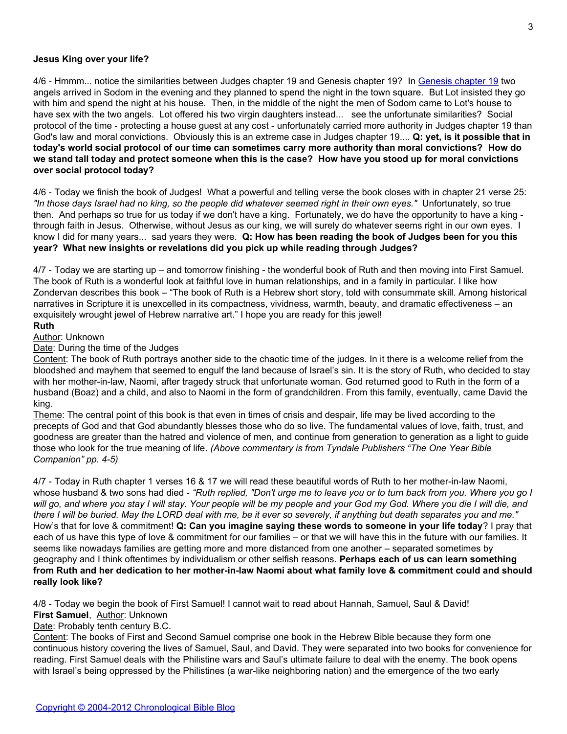#### **Jesus King over your life?**

4/6 - Hmmm... notice the similarities between Judges chapter 19 and Genesis chapter 19? In [Genesis chapter 19](http://blank/) two angels arrived in Sodom in the evening and they planned to spend the night in the town square. But Lot insisted they go with him and spend the night at his house. Then, in the middle of the night the men of Sodom came to Lot's house to have sex with the two angels. Lot offered his two virgin daughters instead... see the unfortunate similarities? Social protocol of the time - protecting a house guest at any cost - unfortunately carried more authority in Judges chapter 19 than God's law and moral convictions. Obviously this is an extreme case in Judges chapter 19.... **Q: yet, is it possible that in today's world social protocol of our time can sometimes carry more authority than moral convictions? How do we stand tall today and protect someone when this is the case? How have you stood up for moral convictions over social protocol today?**

4/6 - Today we finish the book of Judges! What a powerful and telling verse the book closes with in chapter 21 verse 25: *"In those days Israel had no king, so the people did whatever seemed right in their own eyes."* Unfortunately, so true then. And perhaps so true for us today if we don't have a king. Fortunately, we do have the opportunity to have a king through faith in Jesus. Otherwise, without Jesus as our king, we will surely do whatever seems right in our own eyes. I know I did for many years... sad years they were. **Q: How has been reading the book of Judges been for you this year? What new insights or revelations did you pick up while reading through Judges?**

4/7 - Today we are starting up – and tomorrow finishing - the wonderful book of Ruth and then moving into First Samuel. The book of Ruth is a wonderful look at faithful love in human relationships, and in a family in particular. I like how Zondervan describes this book – "The book of Ruth is a Hebrew short story, told with consummate skill. Among historical narratives in Scripture it is unexcelled in its compactness, vividness, warmth, beauty, and dramatic effectiveness – an exquisitely wrought jewel of Hebrew narrative art." I hope you are ready for this jewel!

# **Ruth**

Author: Unknown

Date: During the time of the Judges

Content: The book of Ruth portrays another side to the chaotic time of the judges. In it there is a welcome relief from the bloodshed and mayhem that seemed to engulf the land because of Israel's sin. It is the story of Ruth, who decided to stay with her mother-in-law, Naomi, after tragedy struck that unfortunate woman. God returned good to Ruth in the form of a husband (Boaz) and a child, and also to Naomi in the form of grandchildren. From this family, eventually, came David the king.

Theme: The central point of this book is that even in times of crisis and despair, life may be lived according to the precepts of God and that God abundantly blesses those who do so live. The fundamental values of love, faith, trust, and goodness are greater than the hatred and violence of men, and continue from generation to generation as a light to guide those who look for the true meaning of life. *(Above commentary is from Tyndale Publishers "The One Year Bible Companion" pp. 4-5)*

4/7 - Today in Ruth chapter 1 verses 16 & 17 we will read these beautiful words of Ruth to her mother-in-law Naomi, whose husband & two sons had died - *"Ruth replied, "Don't urge me to leave you or to turn back from you. Where you go I will go, and where you stay I will stay. Your people will be my people and your God my God. Where you die I will die, and there I will be buried. May the LORD deal with me, be it ever so severely, if anything but death separates you and me."* How's that for love & commitment! **Q: Can you imagine saying these words to someone in your life today**? I pray that each of us have this type of love & commitment for our families – or that we will have this in the future with our families. It seems like nowadays families are getting more and more distanced from one another – separated sometimes by geography and I think oftentimes by individualism or other selfish reasons. **Perhaps each of us can learn something from Ruth and her dedication to her mother-in-law Naomi about what family love & commitment could and should really look like?**

4/8 - Today we begin the book of First Samuel! I cannot wait to read about Hannah, Samuel, Saul & David! **First Samuel**, Author: Unknown

Date: Probably tenth century B.C.

Content: The books of First and Second Samuel comprise one book in the Hebrew Bible because they form one continuous history covering the lives of Samuel, Saul, and David. They were separated into two books for convenience for reading. First Samuel deals with the Philistine wars and Saul's ultimate failure to deal with the enemy. The book opens with Israel's being oppressed by the Philistines (a war-like neighboring nation) and the emergence of the two early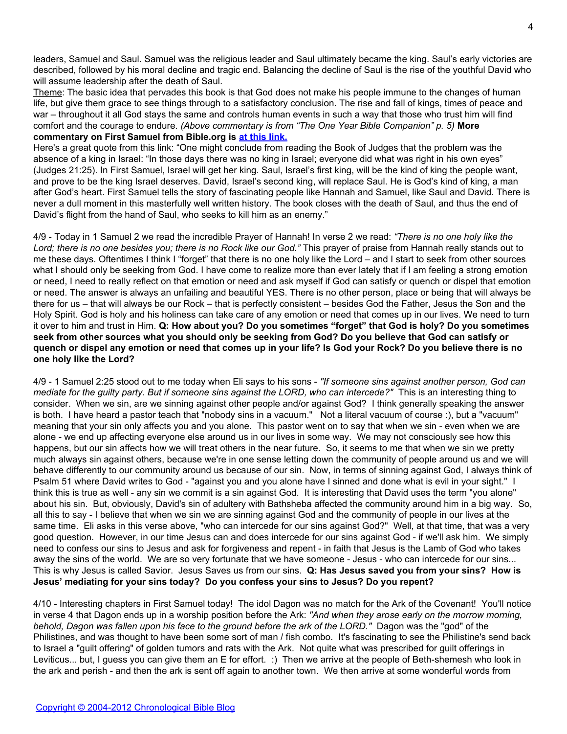leaders, Samuel and Saul. Samuel was the religious leader and Saul ultimately became the king. Saul's early victories are described, followed by his moral decline and tragic end. Balancing the decline of Saul is the rise of the youthful David who will assume leadership after the death of Saul.

Theme: The basic idea that pervades this book is that God does not make his people immune to the changes of human life, but give them grace to see things through to a satisfactory conclusion. The rise and fall of kings, times of peace and war – throughout it all God stays the same and controls human events in such a way that those who trust him will find comfort and the courage to endure. *(Above commentary is from "The One Year Bible Companion" p. 5)* **More commentary on First Samuel from Bible.org is [at this link.](http://blank/)**

Here's a great quote from this link: "One might conclude from reading the Book of Judges that the problem was the absence of a king in Israel: "In those days there was no king in Israel; everyone did what was right in his own eyes" (Judges 21:25). In First Samuel, Israel will get her king. Saul, Israel's first king, will be the kind of king the people want, and prove to be the king Israel deserves. David, Israel's second king, will replace Saul. He is God's kind of king, a man after God's heart. First Samuel tells the story of fascinating people like Hannah and Samuel, like Saul and David. There is never a dull moment in this masterfully well written history. The book closes with the death of Saul, and thus the end of David's flight from the hand of Saul, who seeks to kill him as an enemy."

4/9 - Today in 1 Samuel 2 we read the incredible Prayer of Hannah! In verse 2 we read: *"There is no one holy like the Lord; there is no one besides you; there is no Rock like our God."* This prayer of praise from Hannah really stands out to me these days. Oftentimes I think I "forget" that there is no one holy like the Lord – and I start to seek from other sources what I should only be seeking from God. I have come to realize more than ever lately that if I am feeling a strong emotion or need, I need to really reflect on that emotion or need and ask myself if God can satisfy or quench or dispel that emotion or need. The answer is always an unfailing and beautiful YES. There is no other person, place or being that will always be there for us – that will always be our Rock – that is perfectly consistent – besides God the Father, Jesus the Son and the Holy Spirit. God is holy and his holiness can take care of any emotion or need that comes up in our lives. We need to turn it over to him and trust in Him. **Q: How about you? Do you sometimes "forget" that God is holy? Do you sometimes seek from other sources what you should only be seeking from God? Do you believe that God can satisfy or quench or dispel any emotion or need that comes up in your life? Is God your Rock? Do you believe there is no one holy like the Lord?**

4/9 - 1 Samuel 2:25 stood out to me today when Eli says to his sons - *"If someone sins against another person, God can mediate for the guilty party. But if someone sins against the LORD, who can intercede?"* This is an interesting thing to consider. When we sin, are we sinning against other people and/or against God? I think generally speaking the answer is both. I have heard a pastor teach that "nobody sins in a vacuum." Not a literal vacuum of course :), but a "vacuum" meaning that your sin only affects you and you alone. This pastor went on to say that when we sin - even when we are alone - we end up affecting everyone else around us in our lives in some way. We may not consciously see how this happens, but our sin affects how we will treat others in the near future. So, it seems to me that when we sin we pretty much always sin against others, because we're in one sense letting down the community of people around us and we will behave differently to our community around us because of our sin. Now, in terms of sinning against God, I always think of Psalm 51 where David writes to God - "against you and you alone have I sinned and done what is evil in your sight." I think this is true as well - any sin we commit is a sin against God. It is interesting that David uses the term "you alone" about his sin. But, obviously, David's sin of adultery with Bathsheba affected the community around him in a big way. So, all this to say - I believe that when we sin we are sinning against God and the community of people in our lives at the same time. Eli asks in this verse above, "who can intercede for our sins against God?" Well, at that time, that was a very good question. However, in our time Jesus can and does intercede for our sins against God - if we'll ask him. We simply need to confess our sins to Jesus and ask for forgiveness and repent - in faith that Jesus is the Lamb of God who takes away the sins of the world. We are so very fortunate that we have someone - Jesus - who can intercede for our sins... This is why Jesus is called Savior. Jesus Saves us from our sins. **Q: Has Jesus saved you from your sins? How is Jesus' mediating for your sins today? Do you confess your sins to Jesus? Do you repent?**

4/10 - Interesting chapters in First Samuel today! The idol Dagon was no match for the Ark of the Covenant! You'll notice in verse 4 that Dagon ends up in a worship position before the Ark: *"And when they arose early on the morrow morning, behold, Dagon was fallen upon his face to the ground before the ark of the LORD."* Dagon was the "god" of the Philistines, and was thought to have been some sort of man / fish combo. It's fascinating to see the Philistine's send back to Israel a "guilt offering" of golden tumors and rats with the Ark. Not quite what was prescribed for guilt offerings in Leviticus... but, I guess you can give them an E for effort. :) Then we arrive at the people of Beth-shemesh who look in the ark and perish - and then the ark is sent off again to another town. We then arrive at some wonderful words from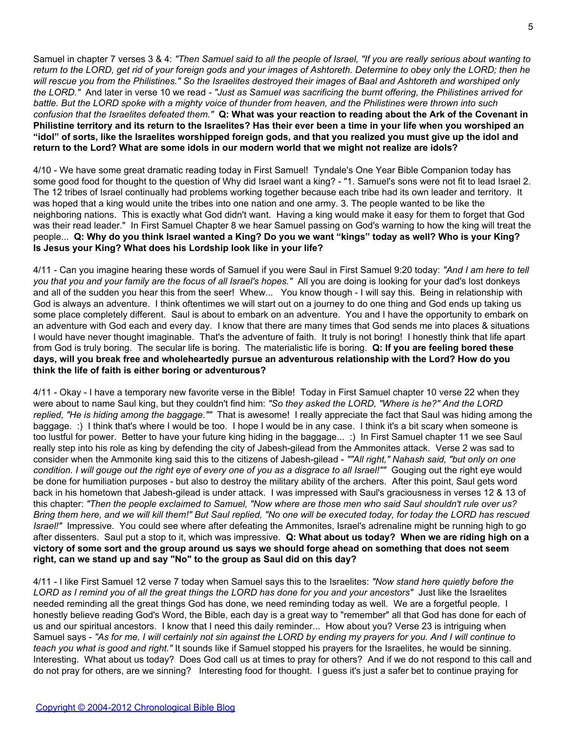Samuel in chapter 7 verses 3 & 4: *"Then Samuel said to all the people of Israel, "If you are really serious about wanting to return to the LORD, get rid of your foreign gods and your images of Ashtoreth. Determine to obey only the LORD; then he will rescue you from the Philistines." So the Israelites destroyed their images of Baal and Ashtoreth and worshiped only the LORD."* And later in verse 10 we read *- "Just as Samuel was sacrificing the burnt offering, the Philistines arrived for battle. But the LORD spoke with a mighty voice of thunder from heaven, and the Philistines were thrown into such confusion that the Israelites defeated them."* **Q: What was your reaction to reading about the Ark of the Covenant in Philistine territory and its return to the Israelites? Has their ever been a time in your life when you worshiped an "idol" of sorts, like the Israelites worshipped foreign gods, and that you realized you must give up the idol and return to the Lord? What are some idols in our modern world that we might not realize are idols?**

4/10 - We have some great dramatic reading today in First Samuel! Tyndale's One Year Bible Companion today has some good food for thought to the question of Why did Israel want a king? - "1. Samuel's sons were not fit to lead Israel 2. The 12 tribes of Israel continually had problems working together because each tribe had its own leader and territory. It was hoped that a king would unite the tribes into one nation and one army. 3. The people wanted to be like the neighboring nations. This is exactly what God didn't want. Having a king would make it easy for them to forget that God was their read leader." In First Samuel Chapter 8 we hear Samuel passing on God's warning to how the king will treat the people... **Q: Why do you think Israel wanted a King? Do you we want "kings" today as well? Who is your King? Is Jesus your King? What does his Lordship look like in your life?**

4/11 - Can you imagine hearing these words of Samuel if you were Saul in First Samuel 9:20 today: *"And I am here to tell you that you and your family are the focus of all Israel's hopes."* All you are doing is looking for your dad's lost donkeys and all of the sudden you hear this from the seer! Whew... You know though - I will say this. Being in relationship with God is always an adventure. I think oftentimes we will start out on a journey to do one thing and God ends up taking us some place completely different. Saul is about to embark on an adventure. You and I have the opportunity to embark on an adventure with God each and every day. I know that there are many times that God sends me into places & situations I would have never thought imaginable. That's the adventure of faith. It truly is not boring! I honestly think that life apart from God is truly boring. The secular life is boring. The materialistic life is boring. **Q: If you are feeling bored these days, will you break free and wholeheartedly pursue an adventurous relationship with the Lord? How do you think the life of faith is either boring or adventurous?**

4/11 - Okay - I have a temporary new favorite verse in the Bible! Today in First Samuel chapter 10 verse 22 when they were about to name Saul king, but they couldn't find him: *"So they asked the LORD, "Where is he?" And the LORD replied, "He is hiding among the baggage.""* That is awesome! I really appreciate the fact that Saul was hiding among the baggage. :) I think that's where I would be too. I hope I would be in any case. I think it's a bit scary when someone is too lustful for power. Better to have your future king hiding in the baggage... :) In First Samuel chapter 11 we see Saul really step into his role as king by defending the city of Jabesh-gilead from the Ammonites attack. Verse 2 was sad to consider when the Ammonite king said this to the citizens of Jabesh-gilead - *""All right," Nahash said, "but only on one condition. I will gouge out the right eye of every one of you as a disgrace to all Israel!""* Gouging out the right eye would be done for humiliation purposes - but also to destroy the military ability of the archers. After this point, Saul gets word back in his hometown that Jabesh-gilead is under attack. I was impressed with Saul's graciousness in verses 12 & 13 of this chapter: *"Then the people exclaimed to Samuel, "Now where are those men who said Saul shouldn't rule over us? Bring them here, and we will kill them!" But Saul replied, "No one will be executed today, for today the LORD has rescued Israel!"* Impressive. You could see where after defeating the Ammonites, Israel's adrenaline might be running high to go after dissenters. Saul put a stop to it, which was impressive. **Q: What about us today? When we are riding high on a victory of some sort and the group around us says we should forge ahead on something that does not seem right, can we stand up and say "No" to the group as Saul did on this day?**

4/11 - I like First Samuel 12 verse 7 today when Samuel says this to the Israelites: *"Now stand here quietly before the LORD as I remind you of all the great things the LORD has done for you and your ancestors"* Just like the Israelites needed reminding all the great things God has done, we need reminding today as well. We are a forgetful people. I honestly believe reading God's Word, the Bible, each day is a great way to "remember" all that God has done for each of us and our spiritual ancestors. I know that I need this daily reminder... How about you? Verse 23 is intriguing when Samuel says - *"As for me, I will certainly not sin against the LORD by ending my prayers for you. And I will continue to teach you what is good and right."* It sounds like if Samuel stopped his prayers for the Israelites, he would be sinning. Interesting. What about us today? Does God call us at times to pray for others? And if we do not respond to this call and do not pray for others, are we sinning? Interesting food for thought. I guess it's just a safer bet to continue praying for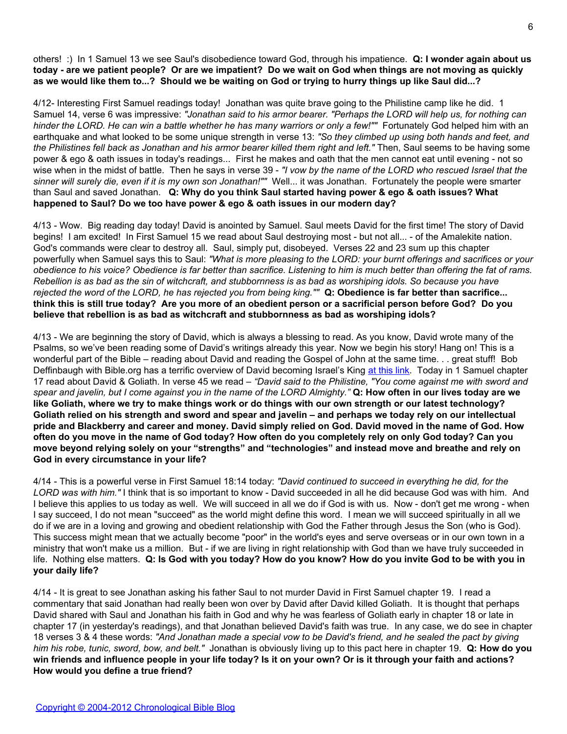others! :) In 1 Samuel 13 we see Saul's disobedience toward God, through his impatience. **Q: I wonder again about us today - are we patient people? Or are we impatient? Do we wait on God when things are not moving as quickly as we would like them to...? Should we be waiting on God or trying to hurry things up like Saul did...?**

4/12- Interesting First Samuel readings today! Jonathan was quite brave going to the Philistine camp like he did. 1 Samuel 14, verse 6 was impressive: *"Jonathan said to his armor bearer. "Perhaps the LORD will help us, for nothing can hinder the LORD. He can win a battle whether he has many warriors or only a few!""* Fortunately God helped him with an earthquake and what looked to be some unique strength in verse 13: *"So they climbed up using both hands and feet, and the Philistines fell back as Jonathan and his armor bearer killed them right and left."* Then, Saul seems to be having some power & ego & oath issues in today's readings... First he makes and oath that the men cannot eat until evening - not so wise when in the midst of battle. Then he says in verse 39 - *"I vow by the name of the LORD who rescued Israel that the sinner will surely die, even if it is my own son Jonathan!""* Well... it was Jonathan. Fortunately the people were smarter than Saul and saved Jonathan. **Q: Why do you think Saul started having power & ego & oath issues? What happened to Saul? Do we too have power & ego & oath issues in our modern day?**

4/13 - Wow. Big reading day today! David is anointed by Samuel. Saul meets David for the first time! The story of David begins! I am excited! In First Samuel 15 we read about Saul destroying most - but not all... - of the Amalekite nation. God's commands were clear to destroy all. Saul, simply put, disobeyed. Verses 22 and 23 sum up this chapter powerfully when Samuel says this to Saul: *"What is more pleasing to the LORD: your burnt offerings and sacrifices or your obedience to his voice? Obedience is far better than sacrifice. Listening to him is much better than offering the fat of rams. Rebellion is as bad as the sin of witchcraft, and stubbornness is as bad as worshiping idols. So because you have rejected the word of the LORD, he has rejected you from being king.""* **Q: Obedience is far better than sacrifice... think this is still true today? Are you more of an obedient person or a sacrificial person before God? Do you believe that rebellion is as bad as witchcraft and stubbornness as bad as worshiping idols?**

4/13 - We are beginning the story of David, which is always a blessing to read. As you know, David wrote many of the Psalms, so we've been reading some of David's writings already this year. Now we begin his story! Hang on! This is a wonderful part of the Bible – reading about David and reading the Gospel of John at the same time. . . great stuff! Bob Deffinbaugh with Bible.org has a terrific overview of David becoming Israel's King [at this link](http://www.bible.org/page.php?page_id=1485). Today in 1 Samuel chapter 17 read about David & Goliath. In verse 45 we read – *"David said to the Philistine, "You come against me with sword and spear and javelin, but I come against you in the name of the LORD Almighty."* **Q: How often in our lives today are we like Goliath, where we try to make things work or do things with our own strength or our latest technology? Goliath relied on his strength and sword and spear and javelin – and perhaps we today rely on our intellectual pride and Blackberry and career and money. David simply relied on God. David moved in the name of God. How often do you move in the name of God today? How often do you completely rely on only God today? Can you move beyond relying solely on your "strengths" and "technologies" and instead move and breathe and rely on God in every circumstance in your life?**

4/14 - This is a powerful verse in First Samuel 18:14 today: *"David continued to succeed in everything he did, for the LORD was with him."* I think that is so important to know - David succeeded in all he did because God was with him. And I believe this applies to us today as well. We will succeed in all we do if God is with us. Now - don't get me wrong - when I say succeed, I do not mean "succeed" as the world might define this word. I mean we will succeed spiritually in all we do if we are in a loving and growing and obedient relationship with God the Father through Jesus the Son (who is God). This success might mean that we actually become "poor" in the world's eyes and serve overseas or in our own town in a ministry that won't make us a million. But - if we are living in right relationship with God than we have truly succeeded in life. Nothing else matters. **Q: Is God with you today? How do you know? How do you invite God to be with you in your daily life?**

4/14 - It is great to see Jonathan asking his father Saul to not murder David in First Samuel chapter 19. I read a commentary that said Jonathan had really been won over by David after David killed Goliath. It is thought that perhaps David shared with Saul and Jonathan his faith in God and why he was fearless of Goliath early in chapter 18 or late in chapter 17 (in yesterday's readings), and that Jonathan believed David's faith was true. In any case, we do see in chapter 18 verses 3 & 4 these words: *"And Jonathan made a special vow to be David's friend, and he sealed the pact by giving him his robe, tunic, sword, bow, and belt."* Jonathan is obviously living up to this pact here in chapter 19. **Q: How do you win friends and influence people in your life today? Is it on your own? Or is it through your faith and actions? How would you define a true friend?**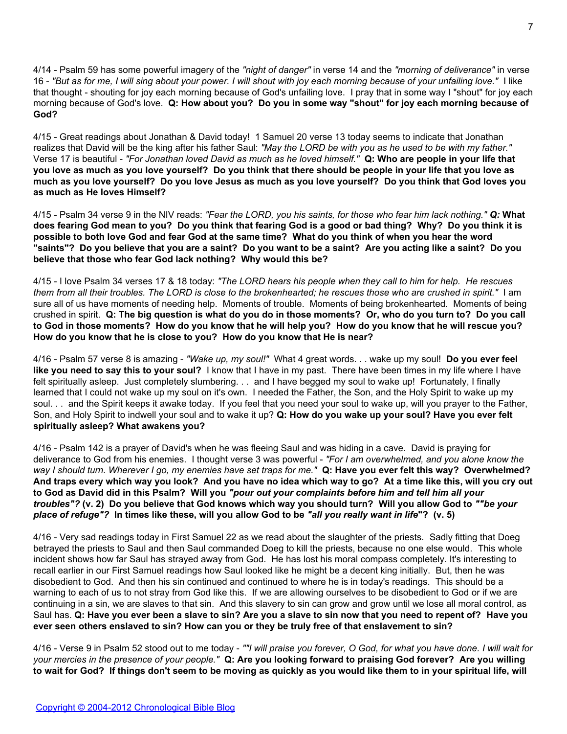4/14 - Psalm 59 has some powerful imagery of the *"night of danger"* in verse 14 and the *"morning of deliverance"* in verse 16 - *"But as for me, I will sing about your power. I will shout with joy each morning because of your unfailing love."* I like that thought - shouting for joy each morning because of God's unfailing love. I pray that in some way I "shout" for joy each morning because of God's love. **Q: How about you? Do you in some way "shout" for joy each morning because of God?**

4/15 - Great readings about Jonathan & David today! 1 Samuel 20 verse 13 today seems to indicate that Jonathan realizes that David will be the king after his father Saul: *"May the LORD be with you as he used to be with my father."* Verse 17 is beautiful - *"For Jonathan loved David as much as he loved himself."* **Q: Who are people in your life that you love as much as you love yourself? Do you think that there should be people in your life that you love as much as you love yourself? Do you love Jesus as much as you love yourself? Do you think that God loves you as much as He loves Himself?**

4/15 - Psalm 34 verse 9 in the NIV reads: *"Fear the LORD, you his saints, for those who fear him lack nothing." Q:* **What does fearing God mean to you? Do you think that fearing God is a good or bad thing? Why? Do you think it is possible to both love God and fear God at the same time? What do you think of when you hear the word "saints"? Do you believe that you are a saint? Do you want to be a saint? Are you acting like a saint? Do you believe that those who fear God lack nothing? Why would this be?**

4/15 - I love Psalm 34 verses 17 & 18 today: *"The LORD hears his people when they call to him for help. He rescues them from all their troubles. The LORD is close to the brokenhearted; he rescues those who are crushed in spirit."* I am sure all of us have moments of needing help. Moments of trouble. Moments of being brokenhearted. Moments of being crushed in spirit. **Q: The big question is what do you do in those moments? Or, who do you turn to? Do you call to God in those moments? How do you know that he will help you? How do you know that he will rescue you? How do you know that he is close to you? How do you know that He is near?**

4/16 - Psalm 57 verse 8 is amazing - *"Wake up, my soul!"* What 4 great words. . . wake up my soul! **Do you ever feel like you need to say this to your soul?** I know that I have in my past. There have been times in my life where I have felt spiritually asleep. Just completely slumbering. . . and I have begged my soul to wake up! Fortunately, I finally learned that I could not wake up my soul on it's own. I needed the Father, the Son, and the Holy Spirit to wake up my soul. . . and the Spirit keeps it awake today. If you feel that you need your soul to wake up, will you prayer to the Father, Son, and Holy Spirit to indwell your soul and to wake it up? **Q: How do you wake up your soul? Have you ever felt spiritually asleep? What awakens you?**

4/16 - Psalm 142 is a prayer of David's when he was fleeing Saul and was hiding in a cave. David is praying for deliverance to God from his enemies. I thought verse 3 was powerful - *"For I am overwhelmed, and you alone know the way I should turn. Wherever I go, my enemies have set traps for me."* **Q: Have you ever felt this way? Overwhelmed? And traps every which way you look? And you have no idea which way to go? At a time like this, will you cry out to God as David did in this Psalm? Will you** *"pour out your complaints before him and tell him all your troubles"?* **(v. 2) Do you believe that God knows which way you should turn? Will you allow God to** *""be your place of refuge"?* **In times like these, will you allow God to be** *"all you really want in life***"? (v. 5)**

4/16 - Very sad readings today in First Samuel 22 as we read about the slaughter of the priests. Sadly fitting that Doeg betrayed the priests to Saul and then Saul commanded Doeg to kill the priests, because no one else would. This whole incident shows how far Saul has strayed away from God. He has lost his moral compass completely. It's interesting to recall earlier in our First Samuel readings how Saul looked like he might be a decent king initially. But, then he was disobedient to God. And then his sin continued and continued to where he is in today's readings. This should be a warning to each of us to not stray from God like this. If we are allowing ourselves to be disobedient to God or if we are continuing in a sin, we are slaves to that sin. And this slavery to sin can grow and grow until we lose all moral control, as Saul has. **Q: Have you ever been a slave to sin? Are you a slave to sin now that you need to repent of? Have you ever seen others enslaved to sin? How can you or they be truly free of that enslavement to sin?**

4/16 - Verse 9 in Psalm 52 stood out to me today - *""I will praise you forever, O God, for what you have done. I will wait for your mercies in the presence of your people."* **Q: Are you looking forward to praising God forever? Are you willing to wait for God? If things don't seem to be moving as quickly as you would like them to in your spiritual life, will**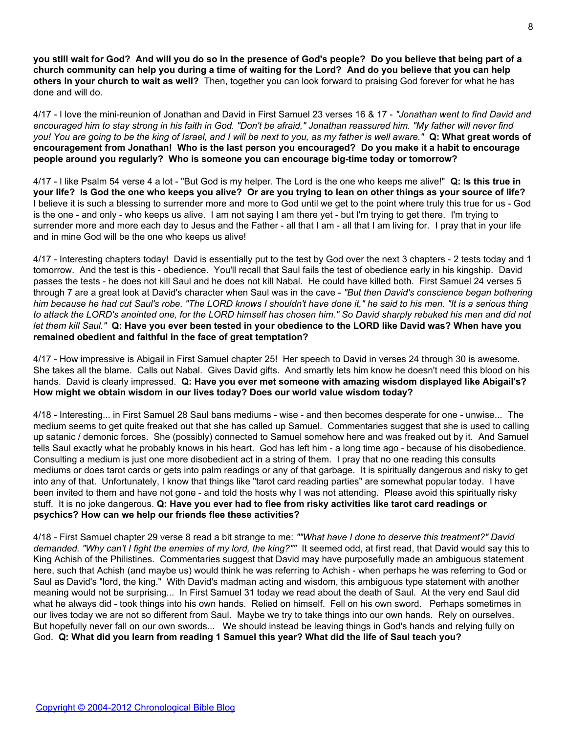**you still wait for God? And will you do so in the presence of God's people? Do you believe that being part of a church community can help you during a time of waiting for the Lord? And do you believe that you can help others in your church to wait as well?** Then, together you can look forward to praising God forever for what he has done and will do.

4/17 - I love the mini-reunion of Jonathan and David in First Samuel 23 verses 16 & 17 - *"Jonathan went to find David and encouraged him to stay strong in his faith in God. "Don't be afraid," Jonathan reassured him. "My father will never find you! You are going to be the king of Israel, and I will be next to you, as my father is well aware."* **Q: What great words of encouragement from Jonathan! Who is the last person you encouraged? Do you make it a habit to encourage people around you regularly? Who is someone you can encourage big-time today or tomorrow?**

4/17 - I like Psalm 54 verse 4 a lot - "But God is my helper. The Lord is the one who keeps me alive!" **Q: Is this true in your life? Is God the one who keeps you alive? Or are you trying to lean on other things as your source of life?** I believe it is such a blessing to surrender more and more to God until we get to the point where truly this true for us - God is the one - and only - who keeps us alive. I am not saying I am there yet - but I'm trying to get there. I'm trying to surrender more and more each day to Jesus and the Father - all that I am - all that I am living for. I pray that in your life and in mine God will be the one who keeps us alive!

4/17 - Interesting chapters today! David is essentially put to the test by God over the next 3 chapters - 2 tests today and 1 tomorrow. And the test is this - obedience. You'll recall that Saul fails the test of obedience early in his kingship. David passes the tests - he does not kill Saul and he does not kill Nabal. He could have killed both. First Samuel 24 verses 5 through 7 are a great look at David's character when Saul was in the cave - *"But then David's conscience began bothering him because he had cut Saul's robe. "The LORD knows I shouldn't have done it," he said to his men. "It is a serious thing to attack the LORD's anointed one, for the LORD himself has chosen him." So David sharply rebuked his men and did not let them kill Saul."* **Q: Have you ever been tested in your obedience to the LORD like David was? When have you remained obedient and faithful in the face of great temptation?**

4/17 - How impressive is Abigail in First Samuel chapter 25! Her speech to David in verses 24 through 30 is awesome. She takes all the blame. Calls out Nabal. Gives David gifts. And smartly lets him know he doesn't need this blood on his hands. David is clearly impressed. **Q: Have you ever met someone with amazing wisdom displayed like Abigail's? How might we obtain wisdom in our lives today? Does our world value wisdom today?**

4/18 - Interesting... in First Samuel 28 Saul bans mediums - wise - and then becomes desperate for one - unwise... The medium seems to get quite freaked out that she has called up Samuel. Commentaries suggest that she is used to calling up satanic / demonic forces. She (possibly) connected to Samuel somehow here and was freaked out by it. And Samuel tells Saul exactly what he probably knows in his heart. God has left him - a long time ago - because of his disobedience. Consulting a medium is just one more disobedient act in a string of them. I pray that no one reading this consults mediums or does tarot cards or gets into palm readings or any of that garbage. It is spiritually dangerous and risky to get into any of that. Unfortunately, I know that things like "tarot card reading parties" are somewhat popular today. I have been invited to them and have not gone - and told the hosts why I was not attending. Please avoid this spiritually risky stuff. It is no joke dangerous. **Q: Have you ever had to flee from risky activities like tarot card readings or psychics? How can we help our friends flee these activities?**

4/18 - First Samuel chapter 29 verse 8 read a bit strange to me: *""What have I done to deserve this treatment?" David demanded. "Why can't I fight the enemies of my lord, the king?""* It seemed odd, at first read, that David would say this to King Achish of the Philistines. Commentaries suggest that David may have purposefully made an ambiguous statement here, such that Achish (and maybe us) would think he was referring to Achish - when perhaps he was referring to God or Saul as David's "lord, the king." With David's madman acting and wisdom, this ambiguous type statement with another meaning would not be surprising... In First Samuel 31 today we read about the death of Saul. At the very end Saul did what he always did - took things into his own hands. Relied on himself. Fell on his own sword. Perhaps sometimes in our lives today we are not so different from Saul. Maybe we try to take things into our own hands. Rely on ourselves. But hopefully never fall on our own swords... We should instead be leaving things in God's hands and relying fully on God. **Q: What did you learn from reading 1 Samuel this year? What did the life of Saul teach you?**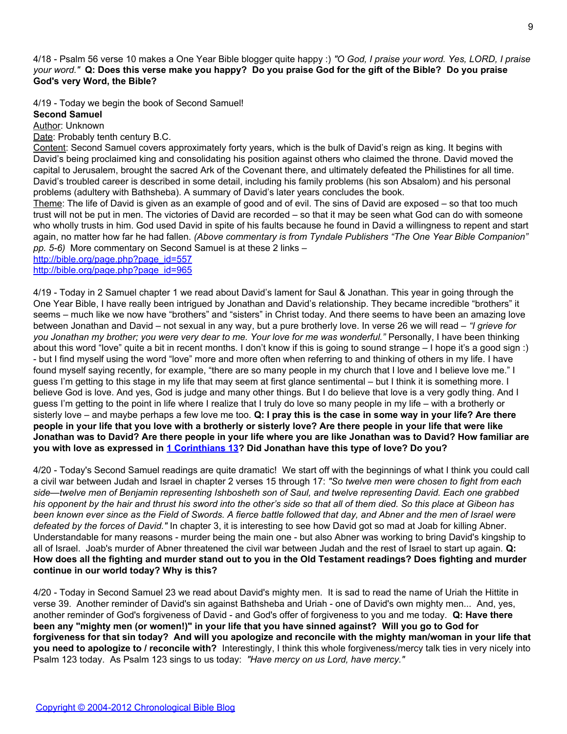4/18 - Psalm 56 verse 10 makes a One Year Bible blogger quite happy :) *"O God, I praise your word. Yes, LORD, I praise your word."* **Q: Does this verse make you happy? Do you praise God for the gift of the Bible? Do you praise God's very Word, the Bible?**

4/19 - Today we begin the book of Second Samuel!

**Second Samuel**

Author: Unknown

Date: Probably tenth century B.C.

Content: Second Samuel covers approximately forty years, which is the bulk of David's reign as king. It begins with David's being proclaimed king and consolidating his position against others who claimed the throne. David moved the capital to Jerusalem, brought the sacred Ark of the Covenant there, and ultimately defeated the Philistines for all time. David's troubled career is described in some detail, including his family problems (his son Absalom) and his personal problems (adultery with Bathsheba). A summary of David's later years concludes the book.

Theme: The life of David is given as an example of good and of evil. The sins of David are exposed – so that too much trust will not be put in men. The victories of David are recorded – so that it may be seen what God can do with someone who wholly trusts in him. God used David in spite of his faults because he found in David a willingness to repent and start again, no matter how far he had fallen. *(Above commentary is from Tyndale Publishers "The One Year Bible Companion" pp. 5-6)* More commentary on Second Samuel is at these 2 links –

[http://bible.org/page.php?page\\_id=557](http://bible.org/page.php?page_id=557)

[http://bible.org/page.php?page\\_id=965](http://bible.org/page.php?page_id=965)

4/19 - Today in 2 Samuel chapter 1 we read about David's lament for Saul & Jonathan. This year in going through the One Year Bible, I have really been intrigued by Jonathan and David's relationship. They became incredible "brothers" it seems – much like we now have "brothers" and "sisters" in Christ today. And there seems to have been an amazing love between Jonathan and David – not sexual in any way, but a pure brotherly love. In verse 26 we will read – *"I grieve for you Jonathan my brother; you were very dear to me. Your love for me was wonderful."* Personally, I have been thinking about this word "love" quite a bit in recent months. I don't know if this is going to sound strange – I hope it's a good sign :) - but I find myself using the word "love" more and more often when referring to and thinking of others in my life. I have found myself saying recently, for example, "there are so many people in my church that I love and I believe love me." I guess I'm getting to this stage in my life that may seem at first glance sentimental – but I think it is something more. I believe God is love. And yes, God is judge and many other things. But I do believe that love is a very godly thing. And I guess I'm getting to the point in life where I realize that I truly do love so many people in my life – with a brotherly or sisterly love – and maybe perhaps a few love me too. **Q: I pray this is the case in some way in your life? Are there people in your life that you love with a brotherly or sisterly love? Are there people in your life that were like Jonathan was to David? Are there people in your life where you are like Jonathan was to David? How familiar are you with love as expressed in [1 Corinthians 13?](http://www.biblegateway.com/passage/index.php?search=1%20corinthians%2013) Did Jonathan have this type of love? Do you?**

4/20 - Today's Second Samuel readings are quite dramatic! We start off with the beginnings of what I think you could call a civil war between Judah and Israel in chapter 2 verses 15 through 17: *"So twelve men were chosen to fight from each side—twelve men of Benjamin representing Ishbosheth son of Saul, and twelve representing David. Each one grabbed his opponent by the hair and thrust his sword into the other's side so that all of them died. So this place at Gibeon has been known ever since as the Field of Swords. A fierce battle followed that day, and Abner and the men of Israel were defeated by the forces of David."* In chapter 3, it is interesting to see how David got so mad at Joab for killing Abner. Understandable for many reasons - murder being the main one - but also Abner was working to bring David's kingship to all of Israel. Joab's murder of Abner threatened the civil war between Judah and the rest of Israel to start up again. **Q: How does all the fighting and murder stand out to you in the Old Testament readings? Does fighting and murder continue in our world today? Why is this?**

4/20 - Today in Second Samuel 23 we read about David's mighty men. It is sad to read the name of Uriah the Hittite in verse 39. Another reminder of David's sin against Bathsheba and Uriah - one of David's own mighty men... And, yes, another reminder of God's forgiveness of David - and God's offer of forgiveness to you and me today. **Q: Have there been any "mighty men (or women!)" in your life that you have sinned against? Will you go to God for forgiveness for that sin today? And will you apologize and reconcile with the mighty man/woman in your life that you need to apologize to / reconcile with?** Interestingly, I think this whole forgiveness/mercy talk ties in very nicely into Psalm 123 today. As Psalm 123 sings to us today: *"Have mercy on us Lord, have mercy."*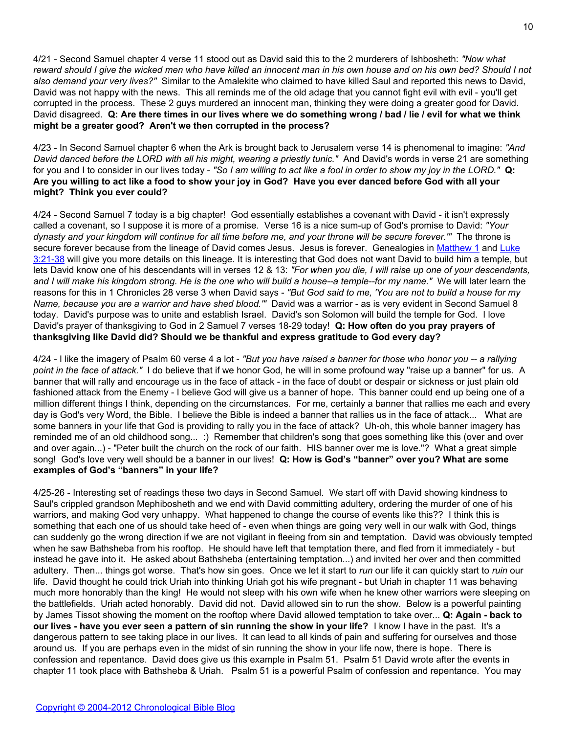4/21 - Second Samuel chapter 4 verse 11 stood out as David said this to the 2 murderers of Ishbosheth: *"Now what reward should I give the wicked men who have killed an innocent man in his own house and on his own bed? Should I not also demand your very lives?"* Similar to the Amalekite who claimed to have killed Saul and reported this news to David, David was not happy with the news. This all reminds me of the old adage that you cannot fight evil with evil - you'll get corrupted in the process. These 2 guys murdered an innocent man, thinking they were doing a greater good for David. David disagreed. **Q: Are there times in our lives where we do something wrong / bad / lie / evil for what we think might be a greater good? Aren't we then corrupted in the process?**

4/23 - In Second Samuel chapter 6 when the Ark is brought back to Jerusalem verse 14 is phenomenal to imagine: *"And David danced before the LORD with all his might, wearing a priestly tunic."* And David's words in verse 21 are something for you and I to consider in our lives today - *"So I am willing to act like a fool in order to show my joy in the LORD."* **Q: Are you willing to act like a food to show your joy in God? Have you ever danced before God with all your might? Think you ever could?**

4/24 - Second Samuel 7 today is a big chapter! God essentially establishes a covenant with David - it isn't expressly called a covenant, so I suppose it is more of a promise. Verse 16 is a nice sum-up of God's promise to David: *"Your dynasty and your kingdom will continue for all time before me, and your throne will be secure forever.'"* The throne is secure forever because from the lineage of David comes Jesus. Jesus is forever. Genealogies in [Matthew 1](http://www.biblegateway.com/passage/?search=matthew%201) and [Luke](http://www.biblegateway.com/passage/?search=luke%203:21-38) [3:21-38](http://www.biblegateway.com/passage/?search=luke%203:21-38) will give you more details on this lineage. It is interesting that God does not want David to build him a temple, but lets David know one of his descendants will in verses 12 & 13: *"For when you die, I will raise up one of your descendants, and I will make his kingdom strong. He is the one who will build a house--a temple--for my name."* We will later learn the reasons for this in 1 Chronicles 28 verse 3 when David says - *"But God said to me, 'You are not to build a house for my Name, because you are a warrior and have shed blood.'"* David was a warrior - as is very evident in Second Samuel 8 today. David's purpose was to unite and establish Israel. David's son Solomon will build the temple for God. I love David's prayer of thanksgiving to God in 2 Samuel 7 verses 18-29 today! **Q: How often do you pray prayers of thanksgiving like David did? Should we be thankful and express gratitude to God every day?**

4/24 - I like the imagery of Psalm 60 verse 4 a lot - *"But you have raised a banner for those who honor you -- a rallying point in the face of attack."* I do believe that if we honor God, he will in some profound way "raise up a banner" for us. A banner that will rally and encourage us in the face of attack - in the face of doubt or despair or sickness or just plain old fashioned attack from the Enemy - I believe God will give us a banner of hope. This banner could end up being one of a million different things I think, depending on the circumstances. For me, certainly a banner that rallies me each and every day is God's very Word, the Bible. I believe the Bible is indeed a banner that rallies us in the face of attack... What are some banners in your life that God is providing to rally you in the face of attack? Uh-oh, this whole banner imagery has reminded me of an old childhood song... :) Remember that children's song that goes something like this (over and over and over again...) - "Peter built the church on the rock of our faith. HIS banner over me is love."? What a great simple song! God's love very well should be a banner in our lives! **Q: How is God's "banner" over you? What are some examples of God's "banners" in your life?**

4/25-26 - Interesting set of readings these two days in Second Samuel. We start off with David showing kindness to Saul's crippled grandson Mephibosheth and we end with David committing adultery, ordering the murder of one of his warriors, and making God very unhappy. What happened to change the course of events like this?? I think this is something that each one of us should take heed of - even when things are going very well in our walk with God, things can suddenly go the wrong direction if we are not vigilant in fleeing from sin and temptation. David was obviously tempted when he saw Bathsheba from his rooftop. He should have left that temptation there, and fled from it immediately - but instead he gave into it. He asked about Bathsheba (entertaining temptation...) and invited her over and then committed adultery. Then... things got worse. That's how sin goes. Once we let it start to *run* our life it can quickly start to *ruin* our life. David thought he could trick Uriah into thinking Uriah got his wife pregnant - but Uriah in chapter 11 was behaving much more honorably than the king! He would not sleep with his own wife when he knew other warriors were sleeping on the battlefields. Uriah acted honorably. David did not. David allowed sin to run the show. Below is a powerful painting by James Tissot showing the moment on the rooftop where David allowed temptation to take over... **Q: Again - back to our lives - have you ever seen a pattern of sin running the show in your life?** I know I have in the past. It's a dangerous pattern to see taking place in our lives. It can lead to all kinds of pain and suffering for ourselves and those around us. If you are perhaps even in the midst of sin running the show in your life now, there is hope. There is confession and repentance. David does give us this example in Psalm 51. Psalm 51 David wrote after the events in chapter 11 took place with Bathsheba & Uriah. Psalm 51 is a powerful Psalm of confession and repentance. You may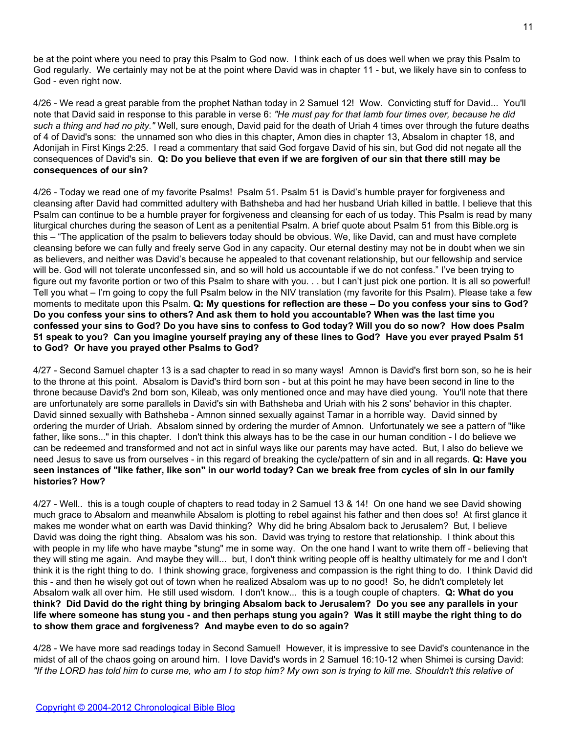be at the point where you need to pray this Psalm to God now. I think each of us does well when we pray this Psalm to God regularly. We certainly may not be at the point where David was in chapter 11 - but, we likely have sin to confess to God - even right now.

4/26 - We read a great parable from the prophet Nathan today in 2 Samuel 12! Wow. Convicting stuff for David... You'll note that David said in response to this parable in verse 6: *"He must pay for that lamb four times over, because he did such a thing and had no pity."* Well, sure enough, David paid for the death of Uriah 4 times over through the future deaths of 4 of David's sons: the unnamed son who dies in this chapter, Amon dies in chapter 13, Absalom in chapter 18, and Adonijah in First Kings 2:25. I read a commentary that said God forgave David of his sin, but God did not negate all the consequences of David's sin. **Q: Do you believe that even if we are forgiven of our sin that there still may be consequences of our sin?**

4/26 - Today we read one of my favorite Psalms! Psalm 51. Psalm 51 is David's humble prayer for forgiveness and cleansing after David had committed adultery with Bathsheba and had her husband Uriah killed in battle. I believe that this Psalm can continue to be a humble prayer for forgiveness and cleansing for each of us today. This Psalm is read by many liturgical churches during the season of Lent as a penitential Psalm. A brief quote about Psalm 51 from this Bible.org is this – "The application of the psalm to believers today should be obvious. We, like David, can and must have complete cleansing before we can fully and freely serve God in any capacity. Our eternal destiny may not be in doubt when we sin as believers, and neither was David's because he appealed to that covenant relationship, but our fellowship and service will be. God will not tolerate unconfessed sin, and so will hold us accountable if we do not confess." I've been trying to figure out my favorite portion or two of this Psalm to share with you. . . but I can't just pick one portion. It is all so powerful! Tell you what – I'm going to copy the full Psalm below in the NIV translation (my favorite for this Psalm). Please take a few moments to meditate upon this Psalm. **Q: My questions for reflection are these – Do you confess your sins to God? Do you confess your sins to others? And ask them to hold you accountable? When was the last time you confessed your sins to God? Do you have sins to confess to God today? Will you do so now? How does Psalm 51 speak to you? Can you imagine yourself praying any of these lines to God? Have you ever prayed Psalm 51 to God? Or have you prayed other Psalms to God?**

4/27 - Second Samuel chapter 13 is a sad chapter to read in so many ways! Amnon is David's first born son, so he is heir to the throne at this point. Absalom is David's third born son - but at this point he may have been second in line to the throne because David's 2nd born son, Kileab, was only mentioned once and may have died young. You'll note that there are unfortunately are some parallels in David's sin with Bathsheba and Uriah with his 2 sons' behavior in this chapter. David sinned sexually with Bathsheba - Amnon sinned sexually against Tamar in a horrible way. David sinned by ordering the murder of Uriah. Absalom sinned by ordering the murder of Amnon. Unfortunately we see a pattern of "like father, like sons..." in this chapter. I don't think this always has to be the case in our human condition - I do believe we can be redeemed and transformed and not act in sinful ways like our parents may have acted. But, I also do believe we need Jesus to save us from ourselves - in this regard of breaking the cycle/pattern of sin and in all regards. **Q: Have you seen instances of "like father, like son" in our world today? Can we break free from cycles of sin in our family histories? How?**

4/27 - Well.. this is a tough couple of chapters to read today in 2 Samuel 13 & 14! On one hand we see David showing much grace to Absalom and meanwhile Absalom is plotting to rebel against his father and then does so! At first glance it makes me wonder what on earth was David thinking? Why did he bring Absalom back to Jerusalem? But, I believe David was doing the right thing. Absalom was his son. David was trying to restore that relationship. I think about this with people in my life who have maybe "stung" me in some way. On the one hand I want to write them off - believing that they will sting me again. And maybe they will... but, I don't think writing people off is healthy ultimately for me and I don't think it is the right thing to do. I think showing grace, forgiveness and compassion is the right thing to do. I think David did this - and then he wisely got out of town when he realized Absalom was up to no good! So, he didn't completely let Absalom walk all over him. He still used wisdom. I don't know... this is a tough couple of chapters. **Q: What do you think? Did David do the right thing by bringing Absalom back to Jerusalem? Do you see any parallels in your life where someone has stung you - and then perhaps stung you again? Was it still maybe the right thing to do to show them grace and forgiveness? And maybe even to do so again?**

4/28 - We have more sad readings today in Second Samuel! However, it is impressive to see David's countenance in the midst of all of the chaos going on around him. I love David's words in 2 Samuel 16:10-12 when Shimei is cursing David: *"If the LORD has told him to curse me, who am I to stop him? My own son is trying to kill me. Shouldn't this relative of*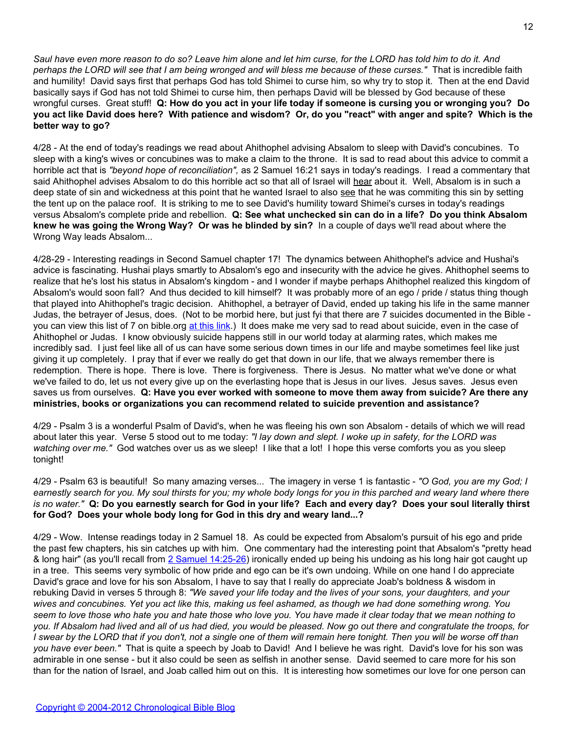*Saul have even more reason to do so? Leave him alone and let him curse, for the LORD has told him to do it. And perhaps the LORD will see that I am being wronged and will bless me because of these curses."* That is incredible faith and humility! David says first that perhaps God has told Shimei to curse him, so why try to stop it. Then at the end David basically says if God has not told Shimei to curse him, then perhaps David will be blessed by God because of these wrongful curses. Great stuff! **Q: How do you act in your life today if someone is cursing you or wronging you? Do you act like David does here? With patience and wisdom? Or, do you "react" with anger and spite? Which is the better way to go?**

4/28 - At the end of today's readings we read about Ahithophel advising Absalom to sleep with David's concubines. To sleep with a king's wives or concubines was to make a claim to the throne. It is sad to read about this advice to commit a horrible act that is *"beyond hope of reconciliation",* as 2 Samuel 16:21 says in today's readings. I read a commentary that said Ahithophel advises Absalom to do this horrible act so that all of Israel will hear about it. Well, Absalom is in such a deep state of sin and wickedness at this point that he wanted Israel to also see that he was commiting this sin by setting the tent up on the palace roof. It is striking to me to see David's humility toward Shimei's curses in today's readings versus Absalom's complete pride and rebellion. **Q: See what unchecked sin can do in a life? Do you think Absalom knew he was going the Wrong Way? Or was he blinded by sin?** In a couple of days we'll read about where the Wrong Way leads Absalom...

4/28-29 - Interesting readings in Second Samuel chapter 17! The dynamics between Ahithophel's advice and Hushai's advice is fascinating. Hushai plays smartly to Absalom's ego and insecurity with the advice he gives. Ahithophel seems to realize that he's lost his status in Absalom's kingdom - and I wonder if maybe perhaps Ahithophel realized this kingdom of Absalom's would soon fall? And thus decided to kill himself? It was probably more of an ego / pride / status thing though that played into Ahithophel's tragic decision. Ahithophel, a betrayer of David, ended up taking his life in the same manner Judas, the betrayer of Jesus, does. (Not to be morbid here, but just fyi that there are 7 suicides documented in the Bible you can view this list of 7 on bible.org [at this link.](http://www.bible.org/illus.php?topic_id=1510)) It does make me very sad to read about suicide, even in the case of Ahithophel or Judas. I know obviously suicide happens still in our world today at alarming rates, which makes me incredibly sad. I just feel like all of us can have some serious down times in our life and maybe sometimes feel like just giving it up completely. I pray that if ever we really do get that down in our life, that we always remember there is redemption. There is hope. There is love. There is forgiveness. There is Jesus. No matter what we've done or what we've failed to do, let us not every give up on the everlasting hope that is Jesus in our lives. Jesus saves. Jesus even saves us from ourselves. **Q: Have you ever worked with someone to move them away from suicide? Are there any ministries, books or organizations you can recommend related to suicide prevention and assistance?**

4/29 - Psalm 3 is a wonderful Psalm of David's, when he was fleeing his own son Absalom - details of which we will read about later this year. Verse 5 stood out to me today: *"I lay down and slept. I woke up in safety, for the LORD was watching over me."* God watches over us as we sleep! I like that a lot! I hope this verse comforts you as you sleep tonight!

4/29 - Psalm 63 is beautiful! So many amazing verses... The imagery in verse 1 is fantastic - *"O God, you are my God; I earnestly search for you. My soul thirsts for you; my whole body longs for you in this parched and weary land where there is no water."* **Q: Do you earnestly search for God in your life? Each and every day? Does your soul literally thirst for God? Does your whole body long for God in this dry and weary land...?**

4/29 - Wow. Intense readings today in 2 Samuel 18. As could be expected from Absalom's pursuit of his ego and pride the past few chapters, his sin catches up with him. One commentary had the interesting point that Absalom's "pretty head & long hair" (as you'll recall from [2 Samuel 14:25-26](http://www.biblegateway.com/passage/?search=2%20Samuel%2014:25-26)) ironically ended up being his undoing as his long hair got caught up in a tree. This seems very symbolic of how pride and ego can be it's own undoing. While on one hand I do appreciate David's grace and love for his son Absalom, I have to say that I really do appreciate Joab's boldness & wisdom in rebuking David in verses 5 through 8: *"We saved your life today and the lives of your sons, your daughters, and your wives and concubines. Yet you act like this, making us feel ashamed, as though we had done something wrong. You seem to love those who hate you and hate those who love you. You have made it clear today that we mean nothing to you. If Absalom had lived and all of us had died, you would be pleased. Now go out there and congratulate the troops, for I swear by the LORD that if you don't, not a single one of them will remain here tonight. Then you will be worse off than you have ever been."* That is quite a speech by Joab to David! And I believe he was right. David's love for his son was admirable in one sense - but it also could be seen as selfish in another sense. David seemed to care more for his son than for the nation of Israel, and Joab called him out on this. It is interesting how sometimes our love for one person can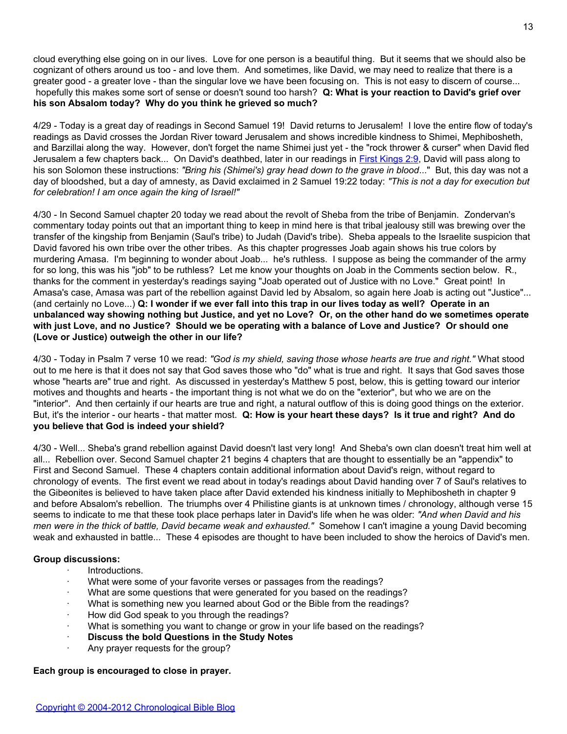cloud everything else going on in our lives. Love for one person is a beautiful thing. But it seems that we should also be cognizant of others around us too - and love them. And sometimes, like David, we may need to realize that there is a greater good - a greater love - than the singular love we have been focusing on. This is not easy to discern of course... hopefully this makes some sort of sense or doesn't sound too harsh? **Q: What is your reaction to David's grief over his son Absalom today? Why do you think he grieved so much?**

4/29 - Today is a great day of readings in Second Samuel 19! David returns to Jerusalem! I love the entire flow of today's readings as David crosses the Jordan River toward Jerusalem and shows incredible kindness to Shimei, Mephibosheth, and Barzillai along the way. However, don't forget the name Shimei just yet - the "rock thrower & curser" when David fled Jerusalem a few chapters back... On David's deathbed, later in our readings in [First Kings 2:9](http://www.biblegateway.com/passage/?search=1%20kings%202:8-9;36-46), David will pass along to his son Solomon these instructions: *"Bring his (Shimei's) gray head down to the grave in blood*..." But, this day was not a day of bloodshed, but a day of amnesty, as David exclaimed in 2 Samuel 19:22 today: *"This is not a day for execution but for celebration! I am once again the king of Israel!"*

4/30 - In Second Samuel chapter 20 today we read about the revolt of Sheba from the tribe of Benjamin. Zondervan's commentary today points out that an important thing to keep in mind here is that tribal jealousy still was brewing over the transfer of the kingship from Benjamin (Saul's tribe) to Judah (David's tribe). Sheba appeals to the Israelite suspicion that David favored his own tribe over the other tribes. As this chapter progresses Joab again shows his true colors by murdering Amasa. I'm beginning to wonder about Joab... he's ruthless. I suppose as being the commander of the army for so long, this was his "job" to be ruthless? Let me know your thoughts on Joab in the Comments section below. R., thanks for the comment in yesterday's readings saying "Joab operated out of Justice with no Love." Great point! In Amasa's case, Amasa was part of the rebellion against David led by Absalom, so again here Joab is acting out "Justice"... (and certainly no Love...) **Q: I wonder if we ever fall into this trap in our lives today as well? Operate in an unbalanced way showing nothing but Justice, and yet no Love? Or, on the other hand do we sometimes operate with just Love, and no Justice? Should we be operating with a balance of Love and Justice? Or should one (Love or Justice) outweigh the other in our life?**

4/30 - Today in Psalm 7 verse 10 we read: *"God is my shield, saving those whose hearts are true and right."* What stood out to me here is that it does not say that God saves those who "do" what is true and right. It says that God saves those whose "hearts are" true and right. As discussed in yesterday's Matthew 5 post, below, this is getting toward our interior motives and thoughts and hearts - the important thing is not what we do on the "exterior", but who we are on the "interior". And then certainly if our hearts are true and right, a natural outflow of this is doing good things on the exterior. But, it's the interior - our hearts - that matter most. **Q: How is your heart these days? Is it true and right? And do you believe that God is indeed your shield?**

4/30 - Well... Sheba's grand rebellion against David doesn't last very long! And Sheba's own clan doesn't treat him well at all... Rebellion over. Second Samuel chapter 21 begins 4 chapters that are thought to essentially be an "appendix" to First and Second Samuel. These 4 chapters contain additional information about David's reign, without regard to chronology of events. The first event we read about in today's readings about David handing over 7 of Saul's relatives to the Gibeonites is believed to have taken place after David extended his kindness initially to Mephibosheth in chapter 9 and before Absalom's rebellion. The triumphs over 4 Philistine giants is at unknown times / chronology, although verse 15 seems to indicate to me that these took place perhaps later in David's life when he was older: *"And when David and his men were in the thick of battle, David became weak and exhausted."* Somehow I can't imagine a young David becoming weak and exhausted in battle... These 4 episodes are thought to have been included to show the heroics of David's men.

### **Group discussions:**

- · Introductions.
- What were some of your favorite verses or passages from the readings?
- What are some questions that were generated for you based on the readings?
- What is something new you learned about God or the Bible from the readings?
- How did God speak to you through the readings?
- What is something you want to change or grow in your life based on the readings?
- **Discuss the bold Questions in the Study Notes**
- Any prayer requests for the group?

## **Each group is encouraged to close in prayer.**